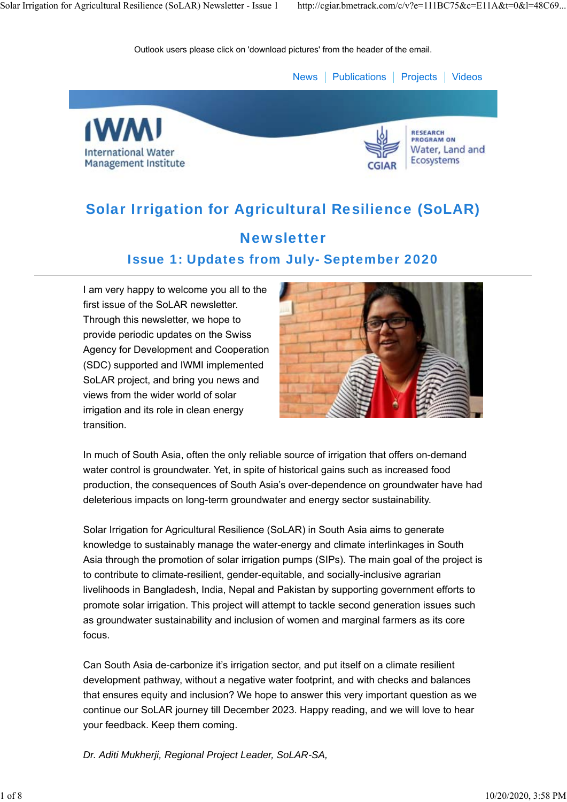



#### **RESEARCH PROGRAM ON** Water, Land and **Ecosystems**

# Solar Irrigation for Agricultural Resilience (SoLAR)

## **Newsletter** Issue 1: Updates from July- September 2020

I am very happy to welcome you all to the first issue of the SoLAR newsletter. Through this newsletter, we hope to provide periodic updates on the Swiss Agency for Development and Cooperation (SDC) supported and IWMI implemented SoLAR project, and bring you news and views from the wider world of solar irrigation and its role in clean energy transition.



In much of South Asia, often the only reliable source of irrigation that offers on-demand water control is groundwater. Yet, in spite of historical gains such as increased food production, the consequences of South Asia's over-dependence on groundwater have had deleterious impacts on long-term groundwater and energy sector sustainability.

Solar Irrigation for Agricultural Resilience (SoLAR) in South Asia aims to generate knowledge to sustainably manage the water-energy and climate interlinkages in South Asia through the promotion of solar irrigation pumps (SIPs). The main goal of the project is to contribute to climate-resilient, gender-equitable, and socially-inclusive agrarian livelihoods in Bangladesh, India, Nepal and Pakistan by supporting government efforts to promote solar irrigation. This project will attempt to tackle second generation issues such as groundwater sustainability and inclusion of women and marginal farmers as its core focus.

Can South Asia de-carbonize it's irrigation sector, and put itself on a climate resilient development pathway, without a negative water footprint, and with checks and balances that ensures equity and inclusion? We hope to answer this very important question as we continue our SoLAR journey till December 2023. Happy reading, and we will love to hear your feedback. Keep them coming.

*Dr. Aditi Mukherji, Regional Project Leader, SoLAR-SA,*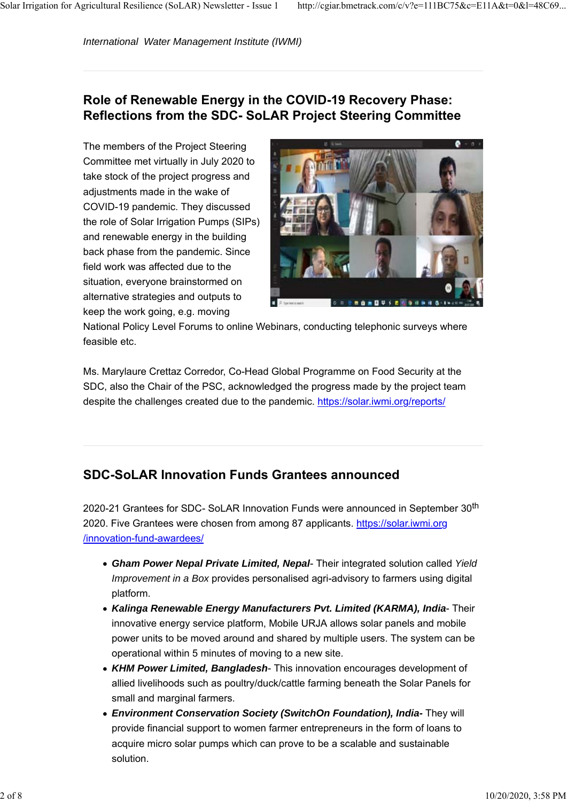### **Role of Renewable Energy in the COVID-19 Recovery Phase: Reflections from the SDC- SoLAR Project Steering Committee**

The members of the Project Steering Committee met virtually in July 2020 to take stock of the project progress and adjustments made in the wake of COVID-19 pandemic. They discussed the role of Solar Irrigation Pumps (SIPs) and renewable energy in the building back phase from the pandemic. Since field work was affected due to the situation, everyone brainstormed on alternative strategies and outputs to keep the work going, e.g. moving



National Policy Level Forums to online Webinars, conducting telephonic surveys where feasible etc.

Ms. Marylaure Crettaz Corredor, Co-Head Global Programme on Food Security at the SDC, also the Chair of the PSC, acknowledged the progress made by the project team despite the challenges created due to the pandemic. https://solar.iwmi.org/reports/

### **SDC-SoLAR Innovation Funds Grantees announced**

2020-21 Grantees for SDC- SoLAR Innovation Funds were announced in September 30<sup>th</sup> 2020. Five Grantees were chosen from among 87 applicants. https://solar.iwmi.org /innovation-fund-awardees/

- *Gham Power Nepal Private Limited, Nepal* Their integrated solution called *Yield Improvement in a Box* provides personalised agri-advisory to farmers using digital platform.
- *Kalinga Renewable Energy Manufacturers Pvt. Limited (KARMA), India* Their innovative energy service platform, Mobile URJA allows solar panels and mobile power units to be moved around and shared by multiple users. The system can be operational within 5 minutes of moving to a new site.
- *KHM Power Limited, Bangladesh* This innovation encourages development of allied livelihoods such as poultry/duck/cattle farming beneath the Solar Panels for small and marginal farmers.
- *Environment Conservation Society (SwitchOn Foundation), India-* They will provide financial support to women farmer entrepreneurs in the form of loans to acquire micro solar pumps which can prove to be a scalable and sustainable solution.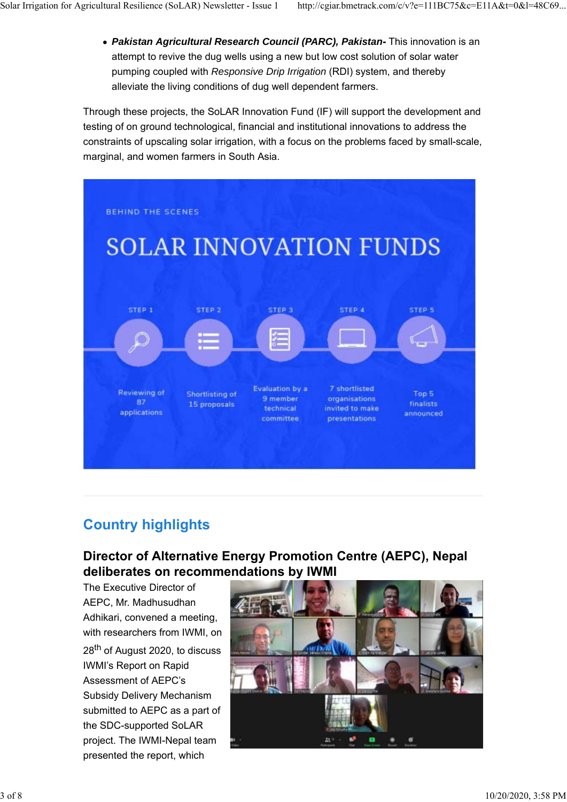attempt to revive the dug wells using a new but low cost solution of solar water pumping coupled with *Responsive Drip Irrigation* (RDI) system, and thereby alleviate the living conditions of dug well dependent farmers.

Through these projects, the SoLAR Innovation Fund (IF) will support the development and testing of on ground technological, financial and institutional innovations to address the constraints of upscaling solar irrigation, with a focus on the problems faced by small-scale, marginal, and women farmers in South Asia.



## **Country highlights**

### **Director of Alternative Energy Promotion Centre (AEPC), Nepal deliberates on recommendations by IWMI**

The Executive Director of AEPC, Mr. Madhusudhan Adhikari, convened a meeting, with researchers from IWMI, on 28<sup>th</sup> of August 2020, to discuss IWMI's Report on Rapid Assessment of AEPC's Subsidy Delivery Mechanism submitted to AEPC as a part of the SDC-supported SoLAR project. The IWMI-Nepal team presented the report, which

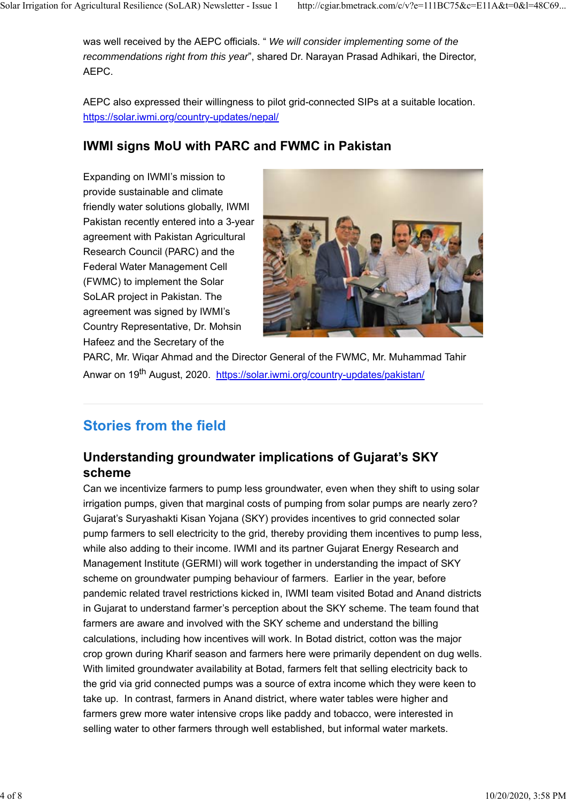*recommendations right from this year*", shared Dr. Narayan Prasad Adhikari, the Director, AEPC.

AEPC also expressed their willingness to pilot grid-connected SIPs at a suitable location. https://solar.iwmi.org/country-updates/nepal/

## **IWMI signs MoU with PARC and FWMC in Pakistan**

Expanding on IWMI's mission to provide sustainable and climate friendly water solutions globally, IWMI Pakistan recently entered into a 3-year agreement with Pakistan Agricultural Research Council (PARC) and the Federal Water Management Cell (FWMC) to implement the Solar SoLAR project in Pakistan. The agreement was signed by IWMI's Country Representative, Dr. Mohsin Hafeez and the Secretary of the



PARC, Mr. Wiqar Ahmad and the Director General of the FWMC, Mr. Muhammad Tahir Anwar on 19<sup>th</sup> August, 2020. https://solar.iwmi.org/country-updates/pakistan/

# **Stories from the field**

### **Understanding groundwater implications of Gujarat's SKY scheme**

Can we incentivize farmers to pump less groundwater, even when they shift to using solar irrigation pumps, given that marginal costs of pumping from solar pumps are nearly zero? Gujarat's Suryashakti Kisan Yojana (SKY) provides incentives to grid connected solar pump farmers to sell electricity to the grid, thereby providing them incentives to pump less, while also adding to their income. IWMI and its partner Gujarat Energy Research and Management Institute (GERMI) will work together in understanding the impact of SKY scheme on groundwater pumping behaviour of farmers. Earlier in the year, before pandemic related travel restrictions kicked in, IWMI team visited Botad and Anand districts in Gujarat to understand farmer's perception about the SKY scheme. The team found that farmers are aware and involved with the SKY scheme and understand the billing calculations, including how incentives will work. In Botad district, cotton was the major crop grown during Kharif season and farmers here were primarily dependent on dug wells. With limited groundwater availability at Botad, farmers felt that selling electricity back to the grid via grid connected pumps was a source of extra income which they were keen to take up. In contrast, farmers in Anand district, where water tables were higher and farmers grew more water intensive crops like paddy and tobacco, were interested in selling water to other farmers through well established, but informal water markets.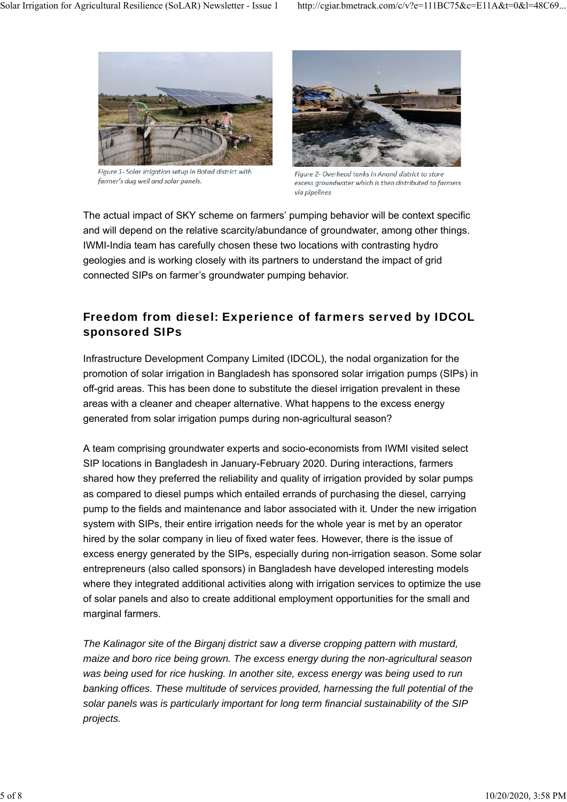

Figure 1- Solar irrigation setup in Botad district with farmer's dug well and solar panels.



Figure 2- Overhead tanks in Anand district to store excess groundwater which is then distributed to farmers via pipelines

The actual impact of SKY scheme on farmers' pumping behavior will be context specific and will depend on the relative scarcity/abundance of groundwater, among other things. IWMI-India team has carefully chosen these two locations with contrasting hydro geologies and is working closely with its partners to understand the impact of grid connected SIPs on farmer's groundwater pumping behavior.

#### Freedom from diesel: Experience of farmers served by IDCOL sponsored SIPs

Infrastructure Development Company Limited (IDCOL), the nodal organization for the promotion of solar irrigation in Bangladesh has sponsored solar irrigation pumps (SIPs) in off-grid areas. This has been done to substitute the diesel irrigation prevalent in these areas with a cleaner and cheaper alternative. What happens to the excess energy generated from solar irrigation pumps during non-agricultural season?

A team comprising groundwater experts and socio-economists from IWMI visited select SIP locations in Bangladesh in January-February 2020. During interactions, farmers shared how they preferred the reliability and quality of irrigation provided by solar pumps as compared to diesel pumps which entailed errands of purchasing the diesel, carrying pump to the fields and maintenance and labor associated with it. Under the new irrigation system with SIPs, their entire irrigation needs for the whole year is met by an operator hired by the solar company in lieu of fixed water fees. However, there is the issue of excess energy generated by the SIPs, especially during non-irrigation season. Some solar entrepreneurs (also called sponsors) in Bangladesh have developed interesting models where they integrated additional activities along with irrigation services to optimize the use of solar panels and also to create additional employment opportunities for the small and marginal farmers.

*The Kalinagor site of the Birganj district saw a diverse cropping pattern with mustard, maize and boro rice being grown. The excess energy during the non-agricultural season was being used for rice husking. In another site, excess energy was being used to run banking offices. These multitude of services provided, harnessing the full potential of the solar panels was is particularly important for long term financial sustainability of the SIP projects.*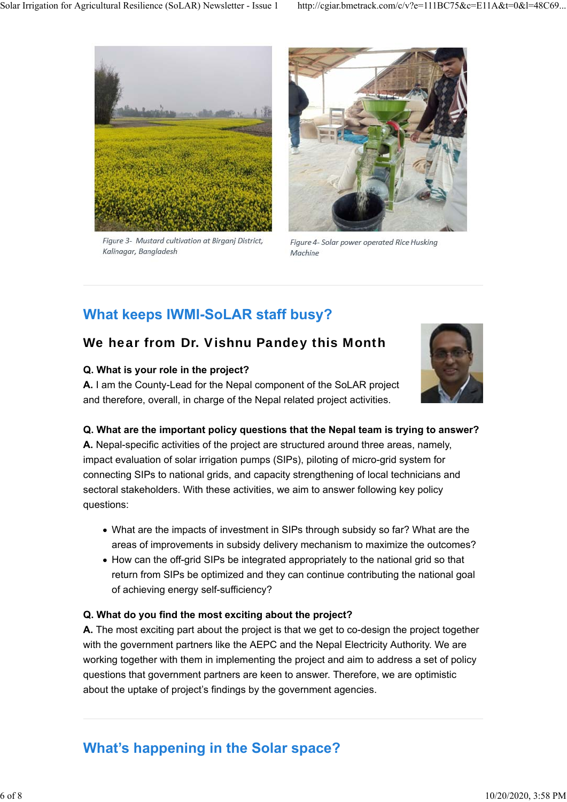

Figure 3- Mustard cultivation at Birganj District, Kalinagar, Bangladesh



Figure 4- Solar power operated Rice Husking Machine

# **What keeps IWMI-SoLAR staff busy?**

## We hear from Dr. Vishnu Pandey this Month

#### **Q. What is your role in the project?**

**A.** I am the County-Lead for the Nepal component of the SoLAR project and therefore, overall, in charge of the Nepal related project activities.



#### **Q. What are the important policy questions that the Nepal team is trying to answer?**

**A.** Nepal-specific activities of the project are structured around three areas, namely, impact evaluation of solar irrigation pumps (SIPs), piloting of micro-grid system for connecting SIPs to national grids, and capacity strengthening of local technicians and sectoral stakeholders. With these activities, we aim to answer following key policy questions:

- What are the impacts of investment in SIPs through subsidy so far? What are the areas of improvements in subsidy delivery mechanism to maximize the outcomes?
- How can the off-grid SIPs be integrated appropriately to the national grid so that return from SIPs be optimized and they can continue contributing the national goal of achieving energy self-sufficiency?

#### **Q. What do you find the most exciting about the project?**

**A.** The most exciting part about the project is that we get to co-design the project together with the government partners like the AEPC and the Nepal Electricity Authority. We are working together with them in implementing the project and aim to address a set of policy questions that government partners are keen to answer. Therefore, we are optimistic about the uptake of project's findings by the government agencies.

## **What's happening in the Solar space?**